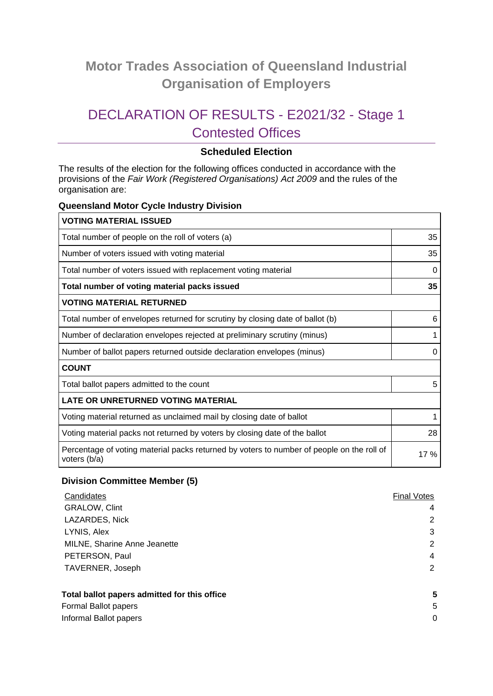# **Motor Trades Association of Queensland Industrial Organisation of Employers**

# DECLARATION OF RESULTS - E2021/32 - Stage 1 Contested Offices

# **Scheduled Election**

The results of the election for the following offices conducted in accordance with the provisions of the *Fair Work (Registered Organisations) Act 2009* and the rules of the organisation are:

#### **Queensland Motor Cycle Industry Division**

| <b>VOTING MATERIAL ISSUED</b>                                                                             |     |  |
|-----------------------------------------------------------------------------------------------------------|-----|--|
| Total number of people on the roll of voters (a)                                                          | 35  |  |
| Number of voters issued with voting material                                                              |     |  |
| Total number of voters issued with replacement voting material                                            | 0   |  |
| Total number of voting material packs issued                                                              |     |  |
| <b>VOTING MATERIAL RETURNED</b>                                                                           |     |  |
| Total number of envelopes returned for scrutiny by closing date of ballot (b)                             | 6   |  |
| Number of declaration envelopes rejected at preliminary scrutiny (minus)                                  |     |  |
| Number of ballot papers returned outside declaration envelopes (minus)                                    | 0   |  |
| <b>COUNT</b>                                                                                              |     |  |
| Total ballot papers admitted to the count                                                                 | 5   |  |
| <b>LATE OR UNRETURNED VOTING MATERIAL</b>                                                                 |     |  |
| Voting material returned as unclaimed mail by closing date of ballot                                      | 1   |  |
| Voting material packs not returned by voters by closing date of the ballot                                | 28  |  |
| Percentage of voting material packs returned by voters to number of people on the roll of<br>voters (b/a) | 17% |  |

#### **Division Committee Member (5)**

| Candidates                                   | <b>Final Votes</b> |
|----------------------------------------------|--------------------|
| <b>GRALOW, Clint</b>                         | 4                  |
| LAZARDES, Nick                               | 2                  |
| LYNIS, Alex                                  | 3                  |
| MILNE, Sharine Anne Jeanette                 | 2                  |
| PETERSON, Paul                               | 4                  |
| TAVERNER, Joseph                             | 2                  |
| Total ballot papers admitted for this office | 5                  |
| Formal Ballot papers                         | 5                  |
| Informal Ballot papers                       | 0                  |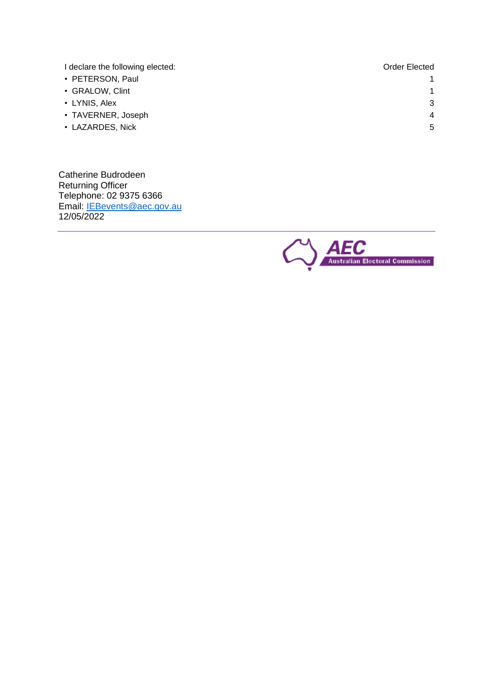I declare the following elected: **Order Elected** and **Order Elected** 

- PETERSON, Paul
- GRALOW, Clint
- LYNIS, Alex
- TAVERNER, Joseph
- LAZARDES, Nick

Catherine Budrodeen Returning Officer Telephone: 02 9375 6366 Email: <u>IEBevents@aec.gov.au</u> 12/05/2022



1

1

3

4

5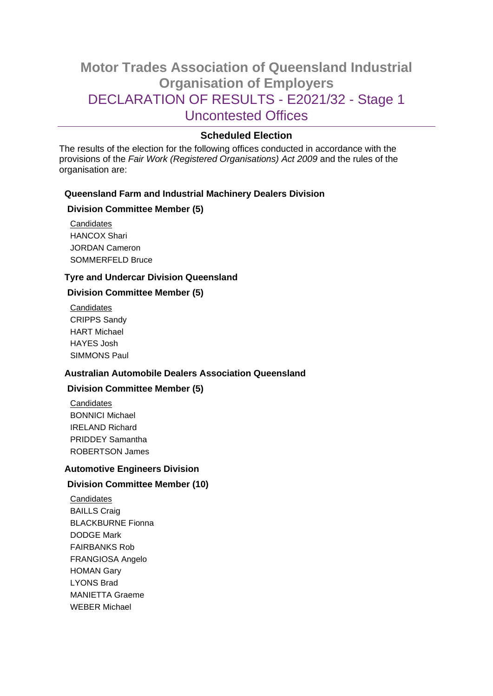# **Motor Trades Association of Queensland Industrial Organisation of Employers** DECLARATION OF RESULTS - E2021/32 - Stage 1 Uncontested Offices

# **Scheduled Election**

The results of the election for the following offices conducted in accordance with the provisions of the *Fair Work (Registered Organisations) Act 2009* and the rules of the organisation are:

# **Queensland Farm and Industrial Machinery Dealers Division**

## **Division Committee Member (5)**

**Candidates** HANCOX Shari JORDAN Cameron SOMMERFELD Bruce

## **Tyre and Undercar Division Queensland**

# **Division Committee Member (5)**

**Candidates** CRIPPS Sandy HART Michael HAYES Josh SIMMONS Paul

## **Australian Automobile Dealers Association Queensland**

## **Division Committee Member (5)**

**Candidates** BONNICI Michael IRELAND Richard PRIDDEY Samantha ROBERTSON James

## **Automotive Engineers Division**

## **Division Committee Member (10)**

**Candidates** BAILLS Craig BLACKBURNE Fionna DODGE Mark FAIRBANKS Rob FRANGIOSA Angelo HOMAN Gary LYONS Brad MANIETTA Graeme WEBER Michael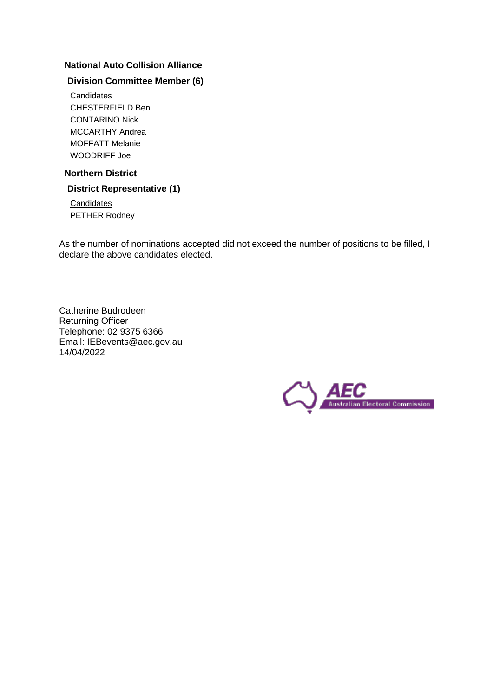## **National Auto Collision Alliance**

# **Division Committee Member (6)**

**Candidates** CHESTERFIELD Ben CONTARINO Nick MCCARTHY Andrea MOFFATT Melanie WOODRIFF Joe

# **Northern District**

## **District Representative (1)**

**Candidates** PETHER Rodney

As the number of nominations accepted did not exceed the number of positions to be filled, I declare the above candidates elected.

Catherine Budrodeen Returning Officer Telephone: 02 9375 6366 Email: IEBevents@aec.gov.au 14/04/2022

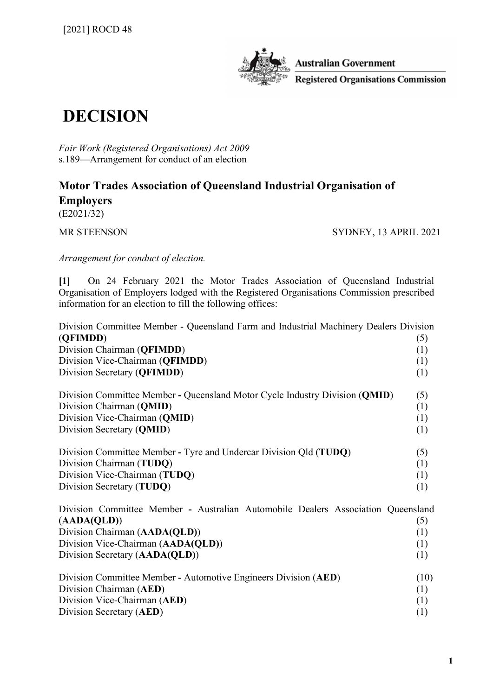

**Australian Government Registered Organisations Commission** 

# DECISION

Fair Work (Registered Organisations) Act 2009 s.189—Arrangement for conduct of an election

# Motor Trades Association of Queensland Industrial Organisation of Employers

(E2021/32)

MR STEENSON SYDNEY, 13 APRIL 2021

Arrangement for conduct of election.

[1] On 24 February 2021 the Motor Trades Association of Queensland Industrial Organisation of Employers lodged with the Registered Organisations Commission prescribed information for an election to fill the following offices:

| Division Committee Member - Queensland Farm and Industrial Machinery Dealers Division<br>(QFIMDD) | (5)  |
|---------------------------------------------------------------------------------------------------|------|
| Division Chairman (QFIMDD)                                                                        | (1)  |
| Division Vice-Chairman (QFIMDD)                                                                   | (1)  |
| Division Secretary (QFIMDD)                                                                       | (1)  |
| Division Committee Member - Queensland Motor Cycle Industry Division (QMID)                       | (5)  |
| Division Chairman (QMID)                                                                          | (1)  |
| Division Vice-Chairman (QMID)                                                                     | (1)  |
| Division Secretary (QMID)                                                                         | (1)  |
| Division Committee Member - Tyre and Undercar Division Qld (TUDQ)                                 | (5)  |
| Division Chairman (TUDQ)                                                                          | (1)  |
| Division Vice-Chairman (TUDQ)                                                                     | (1)  |
| Division Secretary (TUDQ)                                                                         | (1)  |
| Division Committee Member - Australian Automobile Dealers Association Queensland                  |      |
| (AADA(QLD))                                                                                       | (5)  |
| Division Chairman (AADA(QLD))                                                                     | (1)  |
| Division Vice-Chairman (AADA(QLD))                                                                | (1)  |
| Division Secretary (AADA(QLD))                                                                    | (1)  |
| Division Committee Member - Automotive Engineers Division (AED)                                   | (10) |
| Division Chairman (AED)                                                                           | (1)  |
| Division Vice-Chairman (AED)                                                                      | (1)  |
| Division Secretary (AED)                                                                          | (1)  |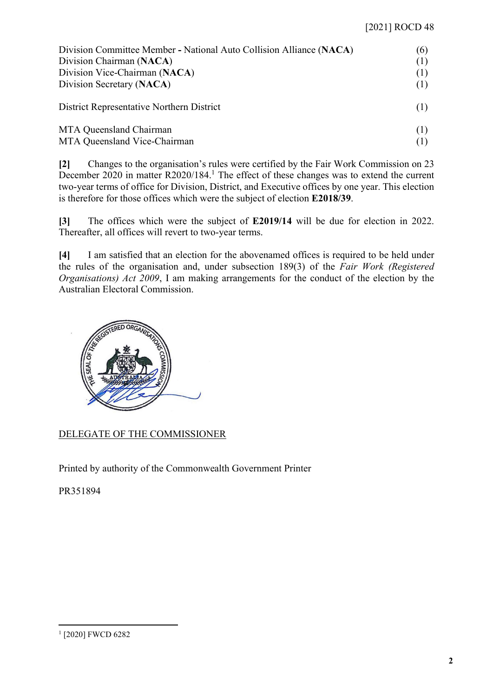| Division Committee Member - National Auto Collision Alliance (NACA) | (6) |
|---------------------------------------------------------------------|-----|
| Division Chairman (NACA)                                            | (1) |
| Division Vice-Chairman (NACA)                                       | (1) |
| Division Secretary (NACA)                                           | (1) |
| District Representative Northern District                           | (1) |
| MTA Queensland Chairman                                             | (1) |
| MTA Queensland Vice-Chairman                                        | (1) |

[2] Changes to the organisation's rules were certified by the Fair Work Commission on 23 December 2020 in matter R2020/184.<sup>1</sup> The effect of these changes was to extend the current two-year terms of office for Division, District, and Executive offices by one year. This election is therefore for those offices which were the subject of election E2018/39.

[3] The offices which were the subject of E2019/14 will be due for election in 2022. Thereafter, all offices will revert to two-year terms.

[4] I am satisfied that an election for the abovenamed offices is required to be held under the rules of the organisation and, under subsection 189(3) of the Fair Work (Registered Organisations) Act 2009, I am making arrangements for the conduct of the election by the Australian Electoral Commission.



DELEGATE OF THE COMMISSIONER

Printed by authority of the Commonwealth Government Printer

PR351894

<sup>1</sup> [2020] FWCD 6282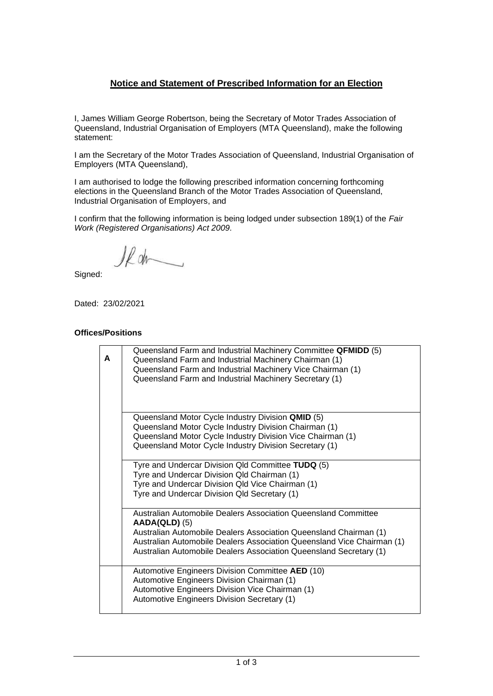# **Notice and Statement of Prescribed Information for an Election**

I, James William George Robertson, being the Secretary of Motor Trades Association of Queensland, Industrial Organisation of Employers (MTA Queensland), make the following statement:

I am the Secretary of the Motor Trades Association of Queensland, Industrial Organisation of Employers (MTA Queensland),

I am authorised to lodge the following prescribed information concerning forthcoming elections in the Queensland Branch of the Motor Trades Association of Queensland, Industrial Organisation of Employers, and

I confirm that the following information is being lodged under subsection 189(1) of the *Fair Work (Registered Organisations) Act 2009.*

Il dr

Signed:

Dated: 23/02/2021

#### **Offices/Positions**

| A | Queensland Farm and Industrial Machinery Committee QFMIDD (5)<br>Queensland Farm and Industrial Machinery Chairman (1)<br>Queensland Farm and Industrial Machinery Vice Chairman (1)<br>Queensland Farm and Industrial Machinery Secretary (1)                                                         |
|---|--------------------------------------------------------------------------------------------------------------------------------------------------------------------------------------------------------------------------------------------------------------------------------------------------------|
|   | Queensland Motor Cycle Industry Division QMID (5)<br>Queensland Motor Cycle Industry Division Chairman (1)<br>Queensland Motor Cycle Industry Division Vice Chairman (1)<br>Queensland Motor Cycle Industry Division Secretary (1)                                                                     |
|   | Tyre and Undercar Division Qld Committee TUDQ (5)<br>Tyre and Undercar Division Qld Chairman (1)<br>Tyre and Undercar Division Qld Vice Chairman (1)<br>Tyre and Undercar Division Qld Secretary (1)                                                                                                   |
|   | Australian Automobile Dealers Association Queensland Committee<br>$AADA(QLD)$ (5)<br>Australian Automobile Dealers Association Queensland Chairman (1)<br>Australian Automobile Dealers Association Queensland Vice Chairman (1)<br>Australian Automobile Dealers Association Queensland Secretary (1) |
|   | Automotive Engineers Division Committee AED (10)<br>Automotive Engineers Division Chairman (1)<br>Automotive Engineers Division Vice Chairman (1)<br>Automotive Engineers Division Secretary (1)                                                                                                       |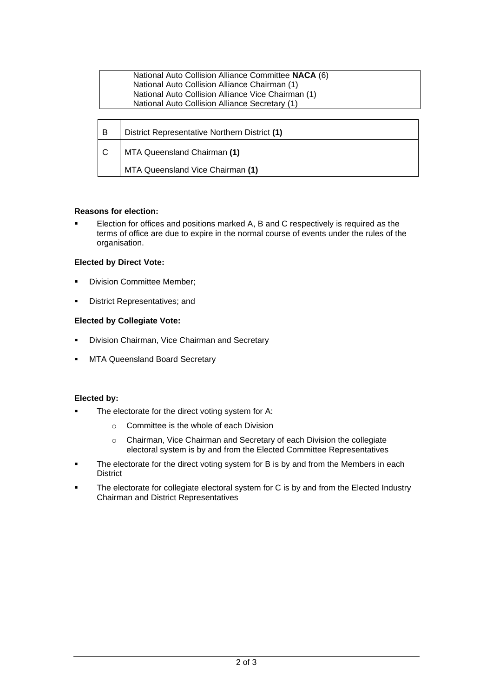| National Auto Collision Alliance Committee NACA (6) |
|-----------------------------------------------------|
| National Auto Collision Alliance Chairman (1)       |
| National Auto Collision Alliance Vice Chairman (1)  |
| National Auto Collision Alliance Secretary (1)      |
|                                                     |

| - B | District Representative Northern District (1) |
|-----|-----------------------------------------------|
| ΙC  | MTA Queensland Chairman (1)                   |
|     | MTA Queensland Vice Chairman (1)              |

#### **Reasons for election:**

■ Election for offices and positions marked A, B and C respectively is required as the terms of office are due to expire in the normal course of events under the rules of the organisation.

#### **Elected by Direct Vote:**

- Division Committee Member;
- District Representatives; and

#### **Elected by Collegiate Vote:**

- **Division Chairman, Vice Chairman and Secretary**
- **MTA Queensland Board Secretary**

#### **Elected by:**

- The electorate for the direct voting system for A:
	- o Committee is the whole of each Division
	- o Chairman, Vice Chairman and Secretary of each Division the collegiate electoral system is by and from the Elected Committee Representatives
- The electorate for the direct voting system for B is by and from the Members in each District
- The electorate for collegiate electoral system for C is by and from the Elected Industry Chairman and District Representatives